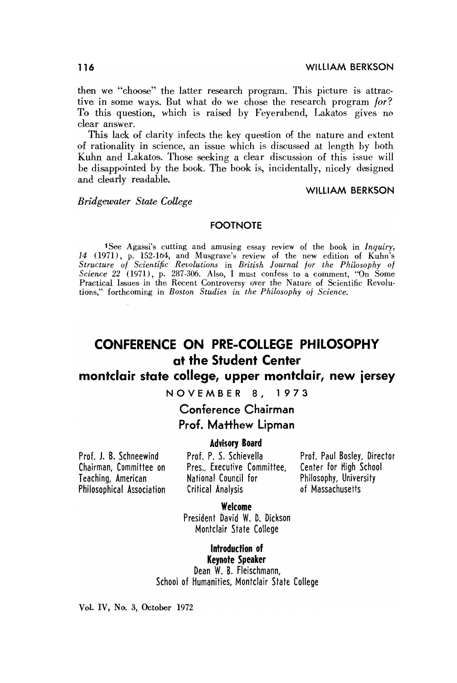then we "choose" the latter research program. This picture is attractive in some ways. But what do we chose the research program for? To this question, which is raised by Feyerabend, Lakatos gives no clear answer.

This lack of clarity infects the key question of the nature and extent of rationality in science, an issue which is discussed at length by both Kuhn and Lakatos. Those seeking a clear discussion of this issue will be disappointed by the book. The book is, incidentally, nicely designed and clearly readable.

#### **WILLIAM BERKSON**

**Bridgewater State College** 

#### **FOOTNOTE**

1See Agassi's cutting and amusing essay review of the book in Inquiry, 14 (1971), p. 152-164, and Musgrave's review of the new edition of Kuhn's<br>Structure of Scientific Revolutions in British Journal for the Philosophy of<br>Science 22 (1971), p. 287-306. Also, I must confess to a comment, "On S tions," forthcoming in Boston Studies in the Philosophy of Science.

# CONFERENCE ON PRE-COLLEGE PHILOSOPHY at the Student Center

# montclair state college, upper montclair, new jersey

NOVEMBER 8, 1973

Conference Chairman Prof. Matthew Lipman

#### **Advisory Board**

Prof. J. B. Schneewind Chairman, Committee on Teaching, American Philosophical Association Prof. P. S. Schievella Pres., Executive Committee, National Council for Critical Analysis

Prof. Paul Bosley, Director Center for High School Philosophy, University of Massachusetts

Welcome

President David W. D. Dickson Montclair State College

Introduction of **Kevnote Speaker** Dean W. B. Fleischmann, School of Humanities, Montclair State College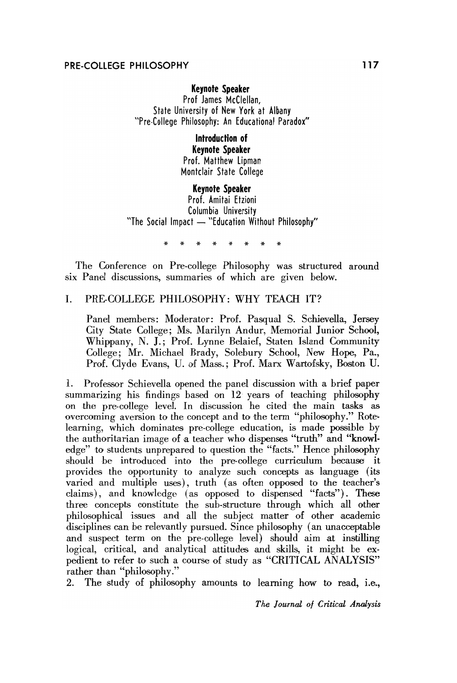# **Keynote Speaker**

Prof James McClellan, State University of New York at Albany "Pre-College Philosophy: An Educational Paradox"

# Introduction of **Kevnote Speaker**

Prof. Matthew Lipman Montclair State College

## **Keynote Speaker**

Prof. Amitai Etzioni Columbia University "The Social Impact - "Education Without Philosophy"

The Conference on Pre-college Philosophy was structured around six Panel discussions, summaries of which are given below.

#### $\mathbf{L}$ PRE-COLLEGE PHILOSOPHY: WHY TEACH IT?

Panel members: Moderator: Prof. Pasqual S. Schievella, Jersey City State College; Ms. Marilyn Andur, Memorial Junior School, Whippany, N. J.; Prof. Lynne Belaief, Staten Island Community College; Mr. Michael Brady, Solebury School, New Hope, Pa., Prof. Clyde Evans, U. of Mass.; Prof. Marx Wartofsky, Boston U.

1. Professor Schievella opened the panel discussion with a brief paper summarizing his findings based on 12 years of teaching philosophy on the pre-college level. In discussion he cited the main tasks as overcoming aversion to the concept and to the term "philosophy." Rotelearning, which dominates pre-college education, is made possible by the authoritarian image of a teacher who dispenses "truth" and "knowledge" to students unprepared to question the "facts." Hence philosophy should be introduced into the pre-college curriculum because it provides the opportunity to analyze such concepts as language (its varied and multiple uses), truth (as often opposed to the teacher's claims), and knowledge (as opposed to dispensed "facts"). These three concepts constitute the sub-structure through which all other philosophical issues and all the subject matter of other academic disciplines can be relevantly pursued. Since philosophy (an unacceptable and suspect term on the pre-college level) should aim at instilling logical, critical, and analytical attitudes and skills, it might be expedient to refer to such a course of study as "CRITICAL ANALYSIS" rather than "philosophy."

2. The study of philosophy amounts to learning how to read, i.e.,

The Journal of Critical Analysis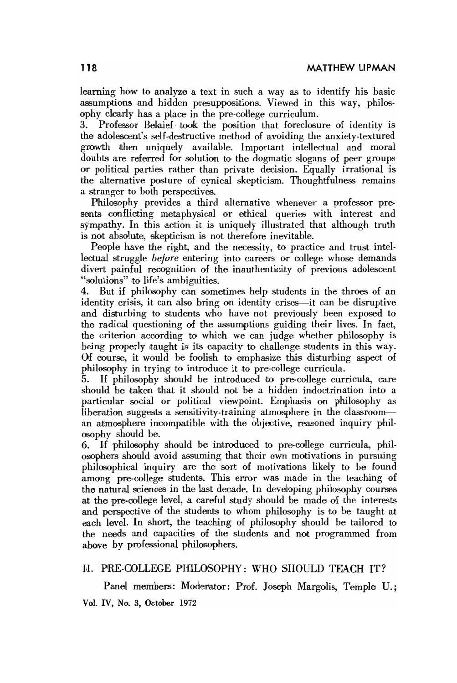learning how to analyze a text in such a way as to identify his basic assumptions and hidden presuppositions. Viewed in this way, philosophy clearly has a place in the pre-college curriculum.

3. Professor Belaief took the position that foreclosure of identity is the adolescent's self-destructive method of avoiding the anxiety-textured growth then uniquely available. Important intellectual and moral doubts are referred for solution to the dogmatic slogans of peer groups or political parties rather than private decision. Equally irrational is the alternative posture of cynical skepticism. Thoughtfulness remains a stranger to both perspectives.

Philosophy provides a third alternative whenever a professor presents conflicting metaphysical or ethieal queries with interest and sympathy. In this action it is uniquely illustrated that although truth is not absolute, skepticism is not therefore inevitable.

People have the right, and the necessity, to practice and trust intellectual struggle *before* entering into careers or college whose demands divert painful recognition of the inauthenticity of previous adolescent "solutions" to life's ambiguities.

4. BUit if philosophy can sometimes help students in the throes of an identity crisis, it can also bring on identity crises—it can be disruptive and disturhing to students who have not previously heen exposed to the radical questioning of the assumptions guiding their lives. In fact, the criterion acoording to which we can judge whether philosophy is being properly taught is its capacity to challenge students in this way. Of course, it would be foolish to emphasize this disturbing aspect of philosophy in trying to introduce it to pre-college curricula.

5. If philosophy should be introduced to pre-college curricula, care should be taken that it should not be a hidden indoctrination into a particular social or political viewpoint. Emphasis on philosophy as liberation suggests a sensitivity-training atmosphere in the classrooman atmosphere inoompatible with the objective, reasoned inquiry philosophy should be.

6. If philosophy should be introduced to pre-college curricula, philosophers should avoid assuming that their own motivations in pursuing philosophical inquiry are the sort of motivations likely to be found among pre-college students. This error was made in the teaching of the natural sciences in the last decade. In developing philosophy courses at the pre-college level, a careful study should be made of the interests and perspective of the students to whom philosophy is to be taught at each level. In short, the teaching of philosophy should he tailored to the needs and capacities of the students and not programmed from above by professional philosophers.

#### II. PRE-COLLEGE PHILOSOPHY: WHO SHOULD TEACH IT?

Panel members: Moderator: Prof. Joseph Margolis, Temple U.; Vol. IV, No. 3, October 1972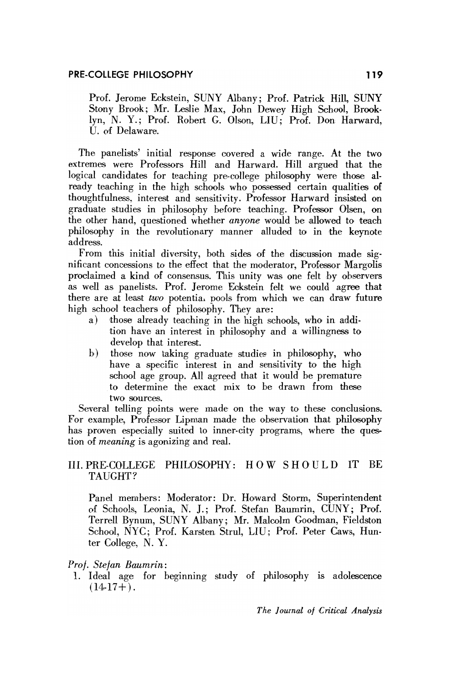Prof. Jerome Eckstein, SUNY Albany; Prof. Patrick Hill, SUNY Stony Brook; Mr. Leslie Max, John Dewey High School, Brooklyn, N. Y.; Prof. Robert G. Olson, LIU; Prof. Don Harward, U. of Delaware.

The panelists' initial response covered a wide range. At the two extremes were Professors Hill and Harward. Hill argued that the logieal candidates for teaching pre-college philosophy were those already teaching in the high schools who possessed certain qualities of thoughtfulness, interest and sensitivity. Professor Harward insisted on graduate studies in philosophy before teaching. Professor Olsen, on the other hand, questioned whether *anyone* would be allowed to teach philosophy in the revolutionary manner alluded to in the keynote address.

From this initial diversity, both sides of the discussion made significant concessions to the effeot that the moderator, Professor Margolis proclaimed a kind of consensus. This unity was one felt by observers as well as panelists. Prof. Jerome Eckstein felt we could agree that there are at least *two* potential pools from which we can draw future high school teachers of philosophy. They are:

- a) those already teaching in the high schools, who in addition have an interest in philosophy and a wiUingness to develop that interest.
- h) those now taking graduate studies in philosophy, who have a specific interest in and sensitivity to the high school age group. All agreed that it would be premature to determine the exaot mix to he drawn from these two sources.

Several telling points were made on the way to these conclusions. For example, Professor Lipman made the observation that philosophy has proven especially suited to inner-city programs, where the question of *meaning* is agonizing and real.

# $III.$  PRE-COLLEGE PHILOSOPHY: HOW SHOULD IT BE TAUGHT?

Panel members: Moderator: Dr. Howard Storm, Superintendent of Schools, Leonia, N. J.; Prof. Stefan Baumrin, CUNY; Prof. Terrell Bynum, SUNY Albany; Mr. Malcolm Goodman, Fieldston School, NYC; Prof. Karsten Strul, LIU; Prof. Peter Caws, Hunter College, N. Y.

#### Prof. *Stefan Baumrin:*

1. Ideal age for beginning study of philosophy is adolescence  $(14-17+)$ .

*The Journal of Critical Analysis*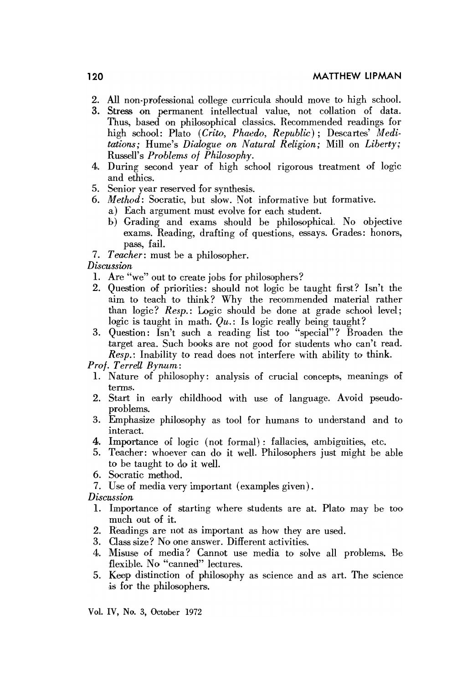- 2. All non-professional college curricula should move to high schooI.
- 3. Stress on permanent intellectual value, not collation of data. Thus, based on philosophical classics. Recommended readings for high school: Plato *(Crito, Phaedo, Republic);* Descartes' *Meditations;* Hume's *Dialogue on Natural Religion;* Mill on *Liberty;* Russell's *Problems 01 Philosopky.*
- 4. During second year of high school rigorous treatment of logic and ethics.
- 5. Senior year reserved for synthesis.
- 6. *Method:* Socratic, but slow. Not informative hut formative.
	- a) Each argument must evolve for each student.
	- b) Grading and exams should be philosophical. No objective exams. Reading, drafting of questions, essays. Grades: honors, pass, faiI.
- 7. Teacher: must be a philosopher.

#### *Discussion*

- 1. Are "we" out to create jobs for philosophers?
- 2. Question of priorities: should not logic be taught first? Isn't the aim to teach to think? Why the recommended material rather than logic? *Resp.:* Logic should he done at grade school level; logic is taught in math.  $Qu.:$  Is logic really being taught?
- 3. Question: Isn't such a reading list too "special"? Broaden the target area. Such books are not good for students who can't read. *Resp.*: Inability to read does not interfere with ability to think.

*Prof. T errell Bynum,:*

- 1. Nature of philosophy: analysis of crucial concepts, meanings of terms.
- 2. Start in early childhood with use of language. Avoid pseudoprohlems.
- 3. Emphasize philosophy as tool for humans to understand and to interact.
- 4. Importance of logic (not formal): fallaeies, amhiguities, etc.
- 5. Teacher: whoever can do it weIl. Philosophers just might be able to he taught to do it weIl.
- 6. Socratic method.
- 7. Dse of media very important (examples given) .

*Discussion*

- 1. Importance of starting where students are at. Plato may be too much out of it.
- 2. Readings are not as important as how they are used.
- 3. Class size? No one answer. Different activities.
- 4. Misuse of media? Cannot use rnedia to solve all problems. Be flexible. No "canned" lectures.
- 5. Keep distinction of philosophy as science and as art. The science is for the philosophers.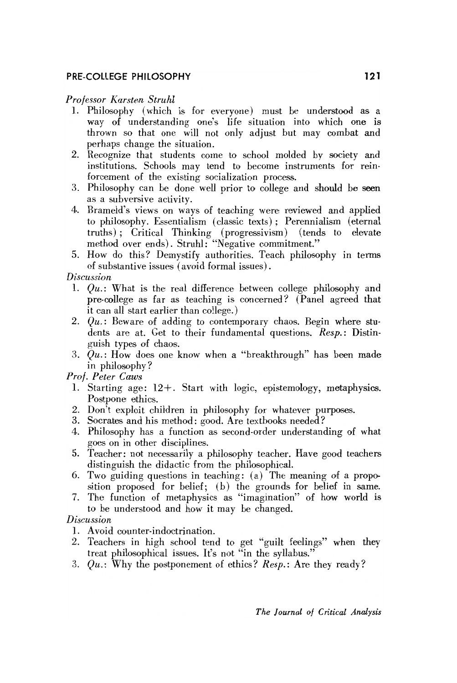# **PRE-COllEGE PHllOSOPHY 121**

#### *Professor [(arsle.n Struhl*

- 1. Philosophy (which is for everyone) must be understood as a way of understanding one's life situation into which one is thrown so that one will not only adjust but may comhat and perhaps change the situation.
- 2. Recognize that students come to school molded by society and institutions. Schools may tend to become instruments for reinforcement of the existing socialization process.
- 3. Philosophy can be done well prior to college and should be seen as a subversive activity.
- 4. Brameld's views on ways of teaching were reviewed and applied to philosophy. Essentia1ism (classic texts); Perennialism (eternal truths); Critieal Thinking (progressivism) (tends to elevate method over ends). Struhl: "Negative commitment."
- 5. How do this? Demystify authorities. Teach philosophy in terms of substantive issues (avoid formal issues) .

#### *Discussion*

- 1.  $Qu.:$  What is the real difference between college philosophy and pre-college as far as teaching is concerned? (Panel agreed that it can all start earlier than college.)
- 2. *Qu.:* Beware of adding to eontemporary chaos. Begin where students are at. Get to their fundamental questions. *Resp.:* Distinguish types of chaos.
- 3. *Qu.:* How does one know when a "breakthrough" has heen made in philosophy ?

### *Prof. Peter Caws*

- 1. Starting age:  $12+$ . Start with logic, epistemology, metaphysics. Postpone ethics.
- 2. Don't exploit children in philosophy for whatever purposes.
- 3. Socrates and his method: good. Are textbooks needed?
- 4. Philosophy has a funetion as second-order understanding of what goes on in other disciplines.
- 5. Teacher: not necessarily a philosophy teacher. Have good teaehers distinguish the didactic from the philosophical.
- 6. Two guiding questions in teaching: (a) The meaning of a proposition proposed for belief; (b) the grounds for belief in same.
- 7. The function of metaphysies as "imagination" of how world is to be understood and how it may be changed.

# *Di.scussion*

- 1. Avoid oounter-indoctrination.
- 2. Teachers in high school tend to get "guilt feelings" when they treat philosophical issues. It's not "in the syllabus."
- *3. Qu.:* Why the postponement of ethics? *Resp.:* Are they ready?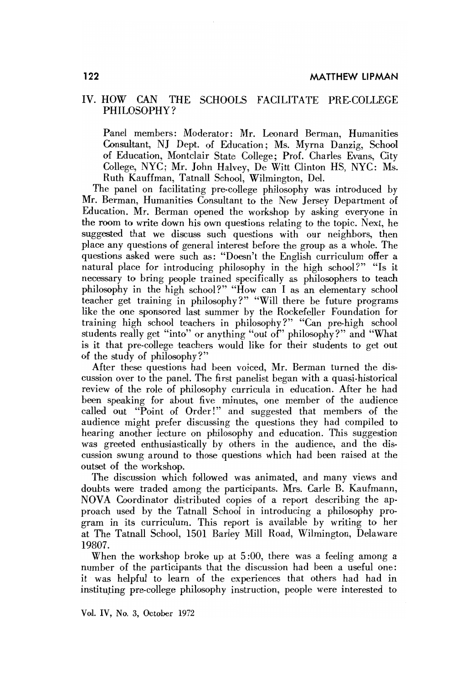# IV. HOW CAN THE SCHOOLS FACILITATE PRE-COLLEGE PHILOSOPHY?

Panel members: Moderator: Mr. Leonard Berman, Humanities Consultant, NJ Dept. of Education; Ms. Myrna Danzig, School of Education, Montclair State College; Prof. Charles Evans, City College, NYC; Mr. John Halvey, De Witt Clinton HS, NYC: Ms. Ruth Kauffman, Tatnall School, Wilmington, DeI.

The panel on facilitating pre-college philosophy was introduced by Mr. Berman, Humanities Consultant to the New Jersey Department of Education. Mr. Berman opened the workshop by asking everyone in the room to write down his own questions relating to the topic. Next, he suggested that we discuss such questions with our neighbors, then place any questions of general interest before the group as a whole. The questions asked were such as: "Doesn't the English curriculum offer a natural plaee for introducing philosophy in the high school?" "Is it necessary to bring people trained specifieally as philosophers to teach philosophy in the high school?" "How can I as an elementary school teacher get training in philosophy?" "Will there be future programs like the one sponsored last summer by the Rockefeller Foundation for training high school teachers in philosophy?" "Can pre-high school students really get "into" or anything "out of" philosophy?" and "What is it that pre-college teachers would like for their students to get out of the study of philosophy?"

After these questions had been voiced, Mr. Berman turned the discussion over to the panel. The first panelist began with a quasi-historical review of the role of philosophy curricula in education. After he had been speaking for about five minutes, one member of the audience called out "Point of Order!" and suggested that members of the audience might prefer discussing the questions they had compiled to hearing another lecture on philosophy and eduoation. This suggestion was greeted enthusiastically by others in the audience, and the discussion swung around to those questions which had been raised at the outset of the workshop.

The discussion which followed was animated, and many views and doubts were traded among the participants. Mrs. Carle B. Kaufmann, NOVA Coordinator distributed copies of a report describing the approach used by the Tatnall Sehool in introdueing a philosophy program in its curriculum. This report is available by writing to her at The Tatnall 5chool, 1501 Barley Mill Road, Wilmington, Deilaware 19807.

When the workshop broke up at 5:00, there was a feeling among a number of the participants that the discussion had been a useful one: it was helpful to learn of the experiences that others had had in instituting pre-college philosophy instruction, people were interested to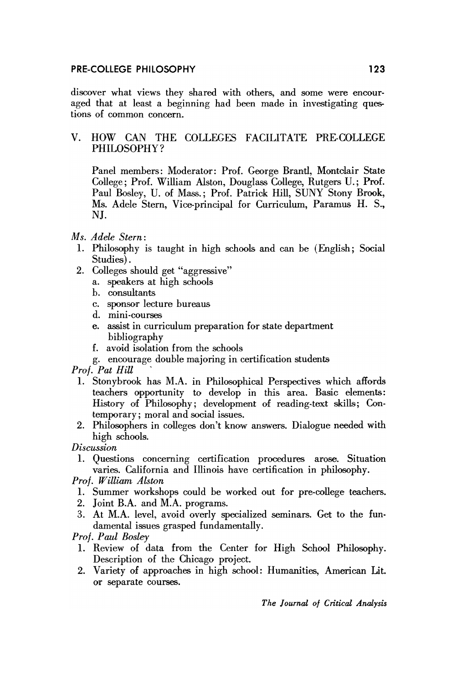### PRE-COLLEGE PHILOSOPHY

discover what views they shared with others, and some were encouraged that at least a beginning had been made in investigating questions of common concern.

# V. HOW CAN THE COLLEGES FACILITATE PRE-COLLEGE PHILOSOPHY?

Panel members: Moderator: Prof. George Brantl, Montclair State College; Prof. William Alston, Douglass College, Rutgers U.; Prof. Paul Bosley, U. of Mass.; Prof. Patrick Hill, SUNY Stony Brook, Ms. Adele Stern, Vice-principal for Curriculum, Paramus H. S., NJ.

# Ms. Adele Stern:

- 1. Philosophy is taught in high schools and can be (English; Social Studies).
- 2. Colleges should get "aggressive"
	- a. speakers at high schools
	- b. consultants
	- c. sponsor lecture bureaus
	- d. mini-courses
	- e. assist in curriculum preparation for state department bibliography
	- f. avoid isolation from the schools
	- g. encourage double majoring in certification students

Prof. Pat Hill

- 1. Stonybrook has M.A. in Philosophical Perspectives which affords teachers opportunity to develop in this area. Basic elements: History of Philosophy; development of reading-text skills; Contemporary; moral and social issues.
- 2. Philosophers in colleges don't know answers. Dialogue needed with high schools.

Discussion

1. Questions concerning certification procedures arose. Situation varies. California and Illinois have certification in philosophy.

Prof. William Alston

- 1. Summer workshops could be worked out for pre-college teachers.
- 2. Joint B.A. and M.A. programs.
- 3. At M.A. level, avoid overly specialized seminars. Get to the fundamental issues grasped fundamentally.

Prof. Paul Bosley

- 1. Review of data from the Center for High School Philosophy. Description of the Chicago project.
- 2. Variety of approaches in high school: Humanities, American Lit. or separate courses.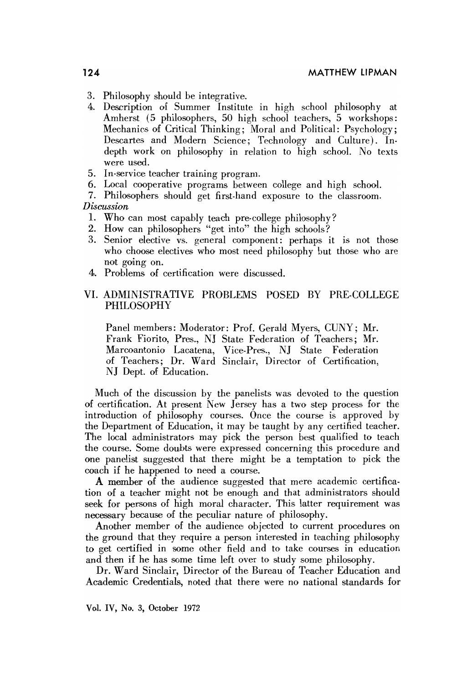- 3. Philosophy should be integrative.
- 4. Description of Summer Institute in high school philosophy at Amherst (5 philosophers, 50 high school teachers, 5 workshops: Mechanics of Critical Thinking; Moral and Political: Psychology; Descartes and Modern Science; Technology and Culture). Indepth work on philosophy in relation to high school. No texts were used.
- 5. In-service teacher training program.
- 6. Local cooperative programs between college and high school.

7. Philosophers should get first-hand exposure to the classroom. *Discussion*

- 1. Who can most capably teach pre-college philosophy?
- 2. How can philosophers "get into" the high schools?
- 3. Senior elective vs. general component: perhaps it is not those who choose electives who most need philosophy but those who are not going on.
- 4. Problems of certification were discussed.

#### VI. ADMINISTRATIVE PROBLEMS POSED BY PRE-COLLEGE PHILOSOPHY

Panel members: Moderator: Prof. Gerald Myers, CUNY; Mr. Frank Fiorito, Pres., NJ State Federation of Teachers; Mr. Marcoantonio Laoatena, Vice-Pres., NJ State Federation of Teachers; Dr. Ward Sinclair, Director of Certification, NJ Dept. of Education.

Much of the discussion by the panelists was devoted to the question of certification. At present New Jersey has a two step process for the introduction of philosophy courses. Once the course is approved by the Department of Education, it may be taught by any certified teacher. The local administrators may pick the person best qualified to teach the course. Some douhts were expressed concerning this procedure and one panelist suggested that there might be a temptation to pick the coach if he happened to need a course.

A memher of the audience suggested that mere academic certifioation of a teacher might not be enough and that administrators should seek for persons of high moral character. This latter requirement was necessary because of the peculiar nature of philosophy.

Another memher of the audience objected to current procedures on the ground that they require a person interested in teaching philosophy to get certified in some other field and to take courses in education and then if he has some time left over to study some philosophy.

Dr. Ward Sinclair, Director of the Bureau of Teacher Education and Academic Credentials, noted that there were no national standards for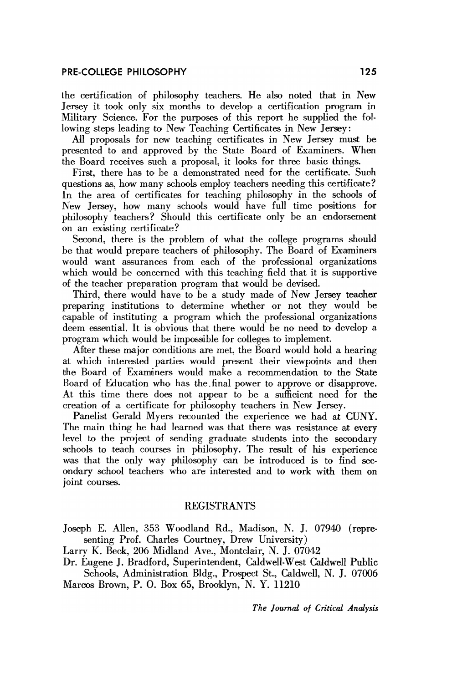the certification of philosophy teachers. He also noted that in New Jersey it took only six months to develop a certification program in Military Science. For the purposes of this report he supplied the following steps leading to New Teaching Certificates in New Jersey:

All proposals for new teaching certificates in New Jersey must be presented toand approved hy the State Board of Examiners. When the Board receives such a proposal, it looks for three basic things.

First, there has to be a demonstrated need for the certificate. Such questions as, how many schools employ teachers needing this certificate? In the area of certificates for teaching philosophy in the schools of New Jersey, how many schools would have full time positions for philosophy teachers? Should this certificate only be an endorsement on an existing certificate?

Second, there is the problem of what the college programs should he that would prepare teachers of philosophy. The Board of Examiners would want assurances from each of the professional orgamzations whieh would be eoncerned with this teaching field that it is supportive of the teacher preparation program that would be devised.

Third, there would have to be a study made of New Jersey teacher preparing institutions to determine whether or not they would be capahle of instituting a program which the professional organizations deem essential. It is obvious that there would be no need to develop a program whieh would be impossible for colleges to implement.

After these major conditions are met, the Board would hold a hearing at which interested parrties would present their viewpoints and then the Board of Examiners would make a recommendation to the State Board of Education who has the. final power to approve or disapprove. At this time there does not appear to be a sufficient need for the creation of a certificate for philosophy teachers in New Jersey.

Panelist Gerald Myers recounted the experience we had at CUNY. The main thing he had learned was that there was resistance at every level to the project of sending graduate students into the secondary schools to teach courses in philosophy. The result of his experience was that the only way philosophy can be introduced is to find secondary school teachers who are interested and to work with them on joint oourses.

# **REGISTRANTS**

Joseph E. Allen, 353 Woodland Rd., Madison, N. J. 07940 (representing Prof. Charles Courtney, Drew University)

Larry K. Beck, 206 Midland Ave., Montclair, N. J. 07042

Dr. Eugene J. Bradford, Superintendent, Caldwell-West Caldwell Public Schools, Administration Bldg., Prospect St., Caldwell, N. J. 07006

Marcos Brown, P. O. Box 65, Brooklyn, N. Y. 11210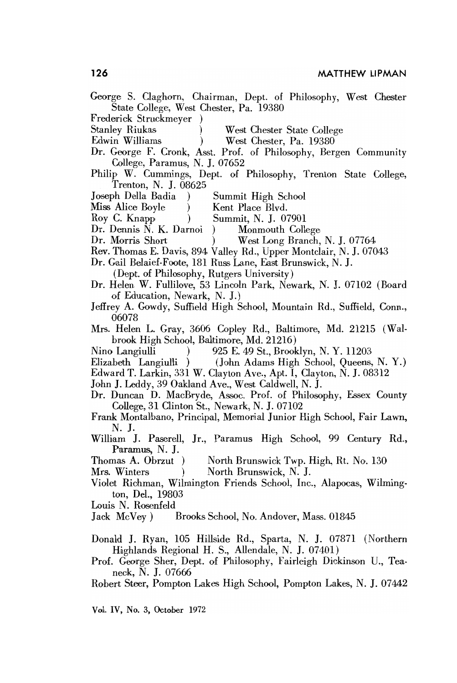George S. Claghorn, Chairman, Dept. of Philosophy, West Chester State College, West Chester, Pa. 19380 Frederick Struckmeyer **Stanley Riukas** West Chester State College Edwin Williams West Chester, Pa. 19380 Dr. George F. Cronk, Asst. Prof. of Philosophy, Bergen Community

College, Paramus, N. J. 07652 Philip W. Cummings, Dept. of Philosophy, Trenton State College,

Trenton, N. J. 08625

- Joseph Della Badia -1 Summit High School
- Miss Alice Boyle Kent Place Blvd.
- Roy C. Knapp Summit, N. J. 07901  $\lambda$
- Dr. Dennis N. K. Darnoi Monmouth College
- Dr. Morris Short West Long Branch, N. J. 07764  $\lambda$
- Rev. Thomas E. Davis, 894 Valley Rd., Upper Montclair, N. J. 07043
- Dr. Gail Belaief-Foote, 181 Russ Lane, East Brunswick, N. J.
	- (Dept. of Philosophy, Rutgers University)
- Dr. Helen W. Fullilove, 53 Lincoln Park, Newark, N. J. 07102 (Board of Education, Newark, N. J.)
- Jeffrey A. Gowdy, Suffield High School, Mountain Rd., Suffield, Conn., 06078
- Mrs. Helen L. Gray, 3606 Copley Rd., Baltimore, Md. 21215 (Walbrook High School, Baltimore, Md. 21216)
- Nino Langiulli 925 E. 49 St., Brooklyn, N.Y. 11203
- Elizabeth Langiulli (John Adams High School, Queens, N.Y.)
- Edward T. Larkin, 331 W. Clayton Ave., Apt. I, Clayton, N. J. 08312
- John J. Leddy, 39 Oakland Ave., West Caldwell, N. J.
- Dr. Duncan D. MacBryde, Assoc. Prof. of Philosophy, Essex County College, 31 Clinton St., Newark, N. J. 07102
- Frank Montalbano, Principal, Memorial Junior High School, Fair Lawn, N. J.
- William J. Paserell, Jr., Paramus High School, 99 Century Rd., Paramus, N. J.
- Thomas A. Obrzut) North Brunswick Twp. High, Rt. No. 130
- Mrs. Winters North Brunswick, N. J.  $\lambda$
- Violet Richman, Wilmington Friends School, Inc., Alapocas, Wilmington, Del., 19803
- Louis N. Rosenfeld
- Jack McVey) Brooks School, No. Andover, Mass. 01845
- Donald J. Ryan, 105 Hillside Rd., Sparta, N. J. 07871 (Northern Highlands Regional H. S., Allendale, N. J. 07401)
- Prof. George Sher, Dept. of Philosophy, Fairleigh Dickinson U., Teaneck, N. J. 07666
- Robert Steer, Pompton Lakes High School, Pompton Lakes, N. J. 07442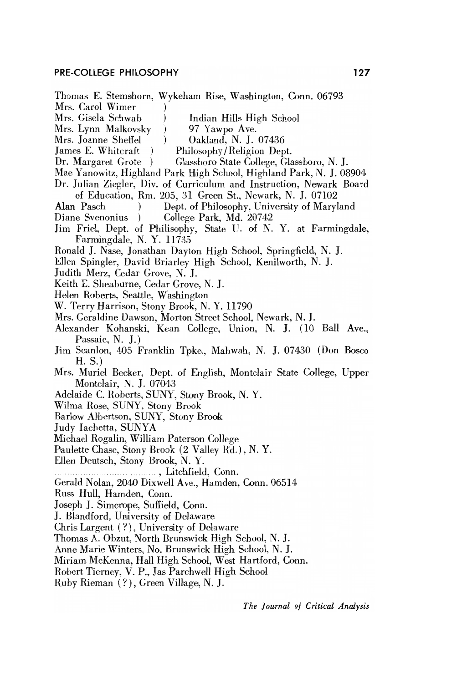#### **PRE-COllEGE PHILOSOPHY 127**

Thomas E. Stemshorn, Wykeham Rise, Washington, Conn. 06793 Mrs. Carol Wimer Mrs. Gisela Schwab ) Indian Hills High School Mrs. Lynn Malkovsky ) 97 Yawpo Ave. Mrs. Joanne Sheffel (b) Oakland, N. J. 07436 James E. Whitcraft ) Philosophy/Religion Dept. Dr. Margaret Grote) Glassboro State College, Glassboro, N. J. Mae Yanowitz, Highland Park Hligh School, Highland Park, N. J. 08904 Dr. Julian Ziegler, Div. of Curriculum and Instruction, Newark Board of Education, Rm. 205, 31 Green St., Newark, N. J. 07102 Alan Pasch ) Dept. of Philosophy, University of Maryland Diane Svenonius ) College Park, Md. 20742 Jim Friel, Dept. of Philisophy, State U. of N. Y. at Farmingdale, Farmingdale, N.Y. 11735 Ronald J. Nase, Jonathan Dayton High School, Springfield, N. J. Ellen Spingier, David Briarley High School, Kenilworth, N. J. Judith Merz, Cedar Grove, N. J. Keith E. Sheaburne, Cedar Grove, N. J. Helen Roberts, Seattle, Washington W. Terry Harrison, Stony Brook, N.Y. 11790 Mrs. Geraldine Dawson, Morton Street School, Newark, N. J. Alexander Kohanski, Kean College, Union, N. J. (10 Ball Ave., Passaic, N. J.) Jim Scanlon, 405 Franklin Tpke., Mahwah, N. J. 07430 (Don Bosco  $H. S.$ Mrs. Muriel Becker, Dept. of English, Montclair State College, Upper Montelair, N. J. 07043 Adelaide C. Roberts, SUNY, Stony Brook, N.Y. Wilma Rose, SUNY, Stony Brook Barlow Albertson, SUNY, Stony Brook Judy lachetta, SUNYA Michael Rogalin, William Paterson College Paulette Chase, Stony Brook (2 Valley Rd.), N.Y. Ellen Deutsch, Stony Brook, N.Y. ........... ....... ., Litchfield, Conn. Gerald Nolan, 2040 Dixwell Ave., Hamden, Conn. 06514 Russ Hull, Hamden, Conn. Joseph J. Simcrope, SufIield, Conn. J. Blandford, University of Delaware Chris Largent (?), University of Delaware Thomas A. Obzut, North Brunswick High School, N. J. Anne Marie Winters, No. Brunswick High School, N. J. Miriam McKenna, Hall High School, West Hartford, Conn. Robert Tierney, V. P., Jas Parchwell High School

Ruby Rieman (?), Green Village, N. J.

*The Journal 01 Critical Analysis*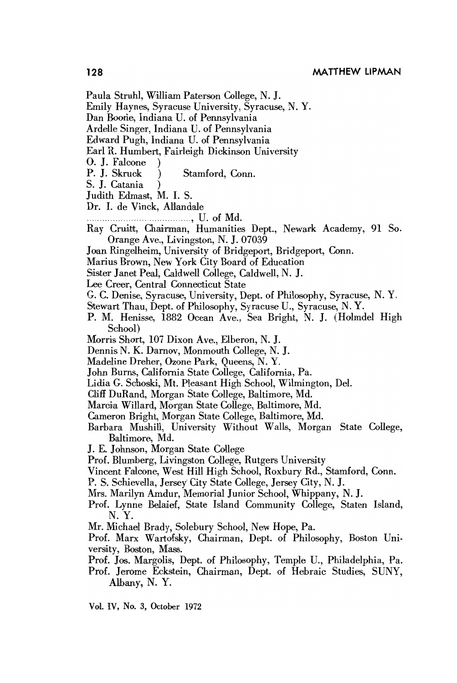- Paula Struhl, William Paterson College, N. J.
- Emily Haynes, Syracuse University, Syracuse, N.Y.
- Dan Boone, Indiana U. of Pennsylvania
- Ardelle Singer, Indiana U. of Pennsylvania
- Edward Pugh, Indiana U. of Pennsylvania
- Earl R. Humbert, Fairleigh Dickinson University
- O. J. Falcone
- P. J. Skruck Stamford, Conn.
- S. J. Catania
- Judith Edmast, M. I. S.
- Dr. I. de Vinck, Allandale
	-
- Ray Cruitt, Chairman, Humanities Dept., Newark Academy, 91 So. Orange Ave., Livingston, N. J. 07039
- Joan Ringelheim, University of Bridgeport, Bridgeport, Conn.
- Marius Brown, New York City Board of Education
- Sister Janet Peal, Caldwell College, Caldwell, N. J.
- Lee Creer, Central Connecticut State
- G. C. Denise, Syracuse, University, Dept. of Philosophy, Syracuse, N.Y.
- Stewart Thau, Dept. of Philosophy, Syracuse U., Syracuse, N.Y.
- P. M. Henisse, 1882 Ocean Ave., Sea Bright, N. J. (Holmdel High School)
- Morris Short, 107 Dixon Ave., Elberon, N. J.
- Dennis N. K. Darnov, Monmouth College, N. J.
- Madeline Dreher, Ozone Park, Queens, N.Y.
- John Burns, California State College, California, Pa.
- Lidia G. Schoski, Mt. Pleasant High School, Wilmington, Del.
- Cliff DuRand, Morgan State College, Baltimore, Md.
- Marcia Willard, Morgan State College, Baltimore, Md.
- Cameron Bright, Morgan State College, Baltimore, Md.
- Barbara Mushill, University Without Walls, Morgan State College, Baltimore, Md.
- J. E. Johnson, Morgan State College
- Prof. Blumberg, Livingston College, Rutgers University
- Vincent Falcone, West Hill High School, Roxbury Rd., Stamford, Conn.
- P. S. Schievella, Jersey City State College, Jersey City, N. J.
- Mrs. Marilyn Amdur, Memorial Junior School, Whippany, N. J.
- Prof. Lynne Belaief, State Island Community College, Staten Island, N. Y.
- Mr. Michael Brady, Solebury School, New Hope, Pa.
- Prof. Marx Wartofsky, Chairman, Dept. of Philosophy, Boston University, Boston, Mass.
- Prof. Jos. Margolis, Dept. of Philosophy, Temple U., Philadelphia, Pa.
- Prof. Jerome Eckstein, Chairman, Dept. of Hebraic Studies, SUNY, Albany, N.Y.

128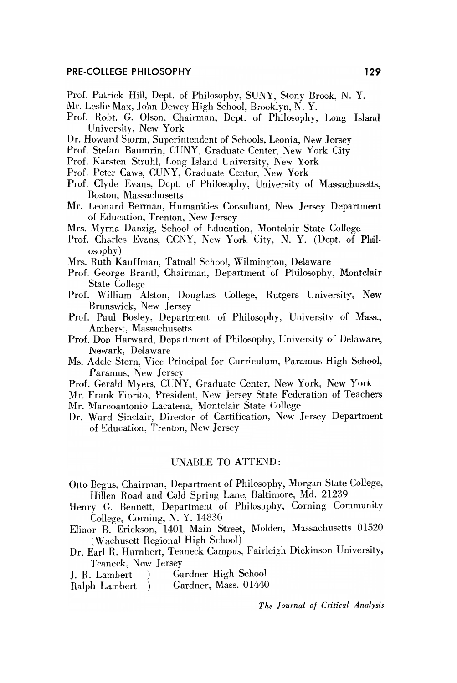#### **PRE-COllEGE PHllOSOPHY 129**

- Prof. Patrick HilI, Dept. of Philosophy, SUNY, Stony Brook, N. Y.
- Mr. Leslie Max, John Dewey High School, Brooklyn, N. Y.
- Prof. Robt. G. Olson, Chairman, Dept. of Philosophy, Long Island University, New York
- Dr. Howard Storm, Superintendent of Schools, Leonia, New Jersey
- Prof. Stefan Baumrin, CUNY, Graduate Center, New York City
- Prof. Karsten Struhl, Long Island University, New York
- Prof. Peter Caws, CUNY, Graduate Center, New York
- Prof. Clyde Evans, Dept. of Philosophy, University of Massachusetts, Boston, Massachusetts
- Mr. Leonard Berman, Humanities Consultant, New Jersey Department of Education, Trenton, New Jersey
- Mrs. Myrna Danzig, School of Education, Montclair State College
- Prof. Charles Evans, CCNY, New York City, N.Y. (Dept. of Philosophy)
- Mrs. Ruth Kauffman, Tatnall School, Wilmington, Delaware
- Prof. George Brantl, Chairman, Department of Philosophy, Montclair State College
- Prof. William Alston, Douglass College, Rutgers University, New Brunswick, New Jersey
- Prof. Paul Bosley, Department of Philosophy, University of Mass., Amherst, Massachusetts
- Prof. Don Harward, Department of Philosophy, University of Delaware, Newark, Delaware
- Ms. Adele Stern, Vice Principal for Curriculum, Paramus High School, Paramus, New Jersey
- Prof. Gerald Myers, CUNY, Graduate Center, New York, New York
- Mr. Frank Fiorito, President, New Jersey State Federation of Teachers
- Mr. Marcoantonio Lacatena, Montclair State College
- Dr. Ward Sinclair, Director of Certification, New Jersey Department of Education, Trenton, New Jersey

### UNABLE TO ATTEND:

- Otto Begus, Chairman, Department of Philosophy, Morgan State College, Hillen Road and Cold Spring Lane, Baltimore, Md. 21239
- Henry G. Bennett, Department of Philosophy, Corning Community College, Corning, N. Y. 14830
- Elinor B. Erickson, 1401 Main Street, Molden, Massachusetts 01520 (Wachusett Regional High School)
- Dr. Earl R. Hurnbert, Teaneck Campus, Fairleigh Dickinson University, Teaneck, New Jersey
- J. R. Lambert) Gardner High School
- Ralph Lambert )